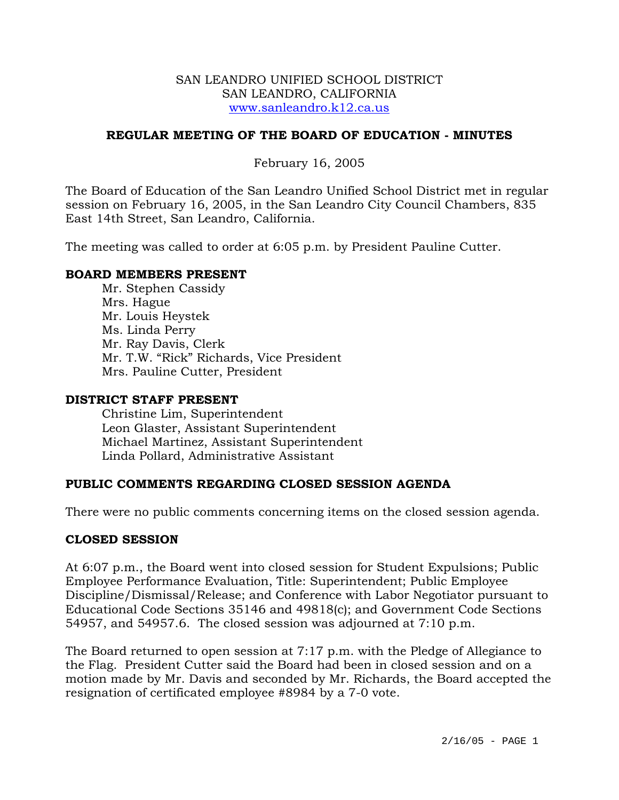### SAN LEANDRO UNIFIED SCHOOL DISTRICT SAN LEANDRO, CALIFORNIA www.sanleandro.k12.ca.us

## **REGULAR MEETING OF THE BOARD OF EDUCATION - MINUTES**

February 16, 2005

The Board of Education of the San Leandro Unified School District met in regular session on February 16, 2005, in the San Leandro City Council Chambers, 835 East 14th Street, San Leandro, California.

The meeting was called to order at 6:05 p.m. by President Pauline Cutter.

## **BOARD MEMBERS PRESENT**

Mr. Stephen Cassidy Mrs. Hague Mr. Louis Heystek Ms. Linda Perry Mr. Ray Davis, Clerk Mr. T.W. "Rick" Richards, Vice President Mrs. Pauline Cutter, President

### **DISTRICT STAFF PRESENT**

Christine Lim, Superintendent Leon Glaster, Assistant Superintendent Michael Martinez, Assistant Superintendent Linda Pollard, Administrative Assistant

## **PUBLIC COMMENTS REGARDING CLOSED SESSION AGENDA**

There were no public comments concerning items on the closed session agenda.

## **CLOSED SESSION**

At 6:07 p.m., the Board went into closed session for Student Expulsions; Public Employee Performance Evaluation, Title: Superintendent; Public Employee Discipline/Dismissal/Release; and Conference with Labor Negotiator pursuant to Educational Code Sections 35146 and 49818(c); and Government Code Sections 54957, and 54957.6. The closed session was adjourned at 7:10 p.m.

The Board returned to open session at 7:17 p.m. with the Pledge of Allegiance to the Flag. President Cutter said the Board had been in closed session and on a motion made by Mr. Davis and seconded by Mr. Richards, the Board accepted the resignation of certificated employee #8984 by a 7-0 vote.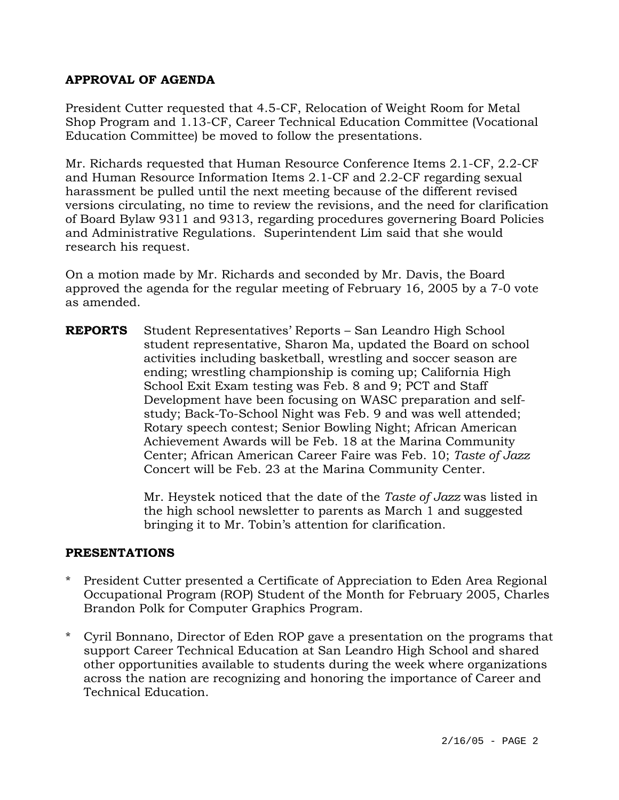# **APPROVAL OF AGENDA**

President Cutter requested that 4.5-CF, Relocation of Weight Room for Metal Shop Program and 1.13-CF, Career Technical Education Committee (Vocational Education Committee) be moved to follow the presentations.

Mr. Richards requested that Human Resource Conference Items 2.1-CF, 2.2-CF and Human Resource Information Items 2.1-CF and 2.2-CF regarding sexual harassment be pulled until the next meeting because of the different revised versions circulating, no time to review the revisions, and the need for clarification of Board Bylaw 9311 and 9313, regarding procedures governering Board Policies and Administrative Regulations. Superintendent Lim said that she would research his request.

On a motion made by Mr. Richards and seconded by Mr. Davis, the Board approved the agenda for the regular meeting of February 16, 2005 by a 7-0 vote as amended.

**REPORTS** Student Representatives' Reports – San Leandro High School student representative, Sharon Ma, updated the Board on school activities including basketball, wrestling and soccer season are ending; wrestling championship is coming up; California High School Exit Exam testing was Feb. 8 and 9; PCT and Staff Development have been focusing on WASC preparation and selfstudy; Back-To-School Night was Feb. 9 and was well attended; Rotary speech contest; Senior Bowling Night; African American Achievement Awards will be Feb. 18 at the Marina Community Center; African American Career Faire was Feb. 10; *Taste of Jazz* Concert will be Feb. 23 at the Marina Community Center.

> Mr. Heystek noticed that the date of the *Taste of Jazz* was listed in the high school newsletter to parents as March 1 and suggested bringing it to Mr. Tobin's attention for clarification.

## **PRESENTATIONS**

- \* President Cutter presented a Certificate of Appreciation to Eden Area Regional Occupational Program (ROP) Student of the Month for February 2005, Charles Brandon Polk for Computer Graphics Program.
- \* Cyril Bonnano, Director of Eden ROP gave a presentation on the programs that support Career Technical Education at San Leandro High School and shared other opportunities available to students during the week where organizations across the nation are recognizing and honoring the importance of Career and Technical Education.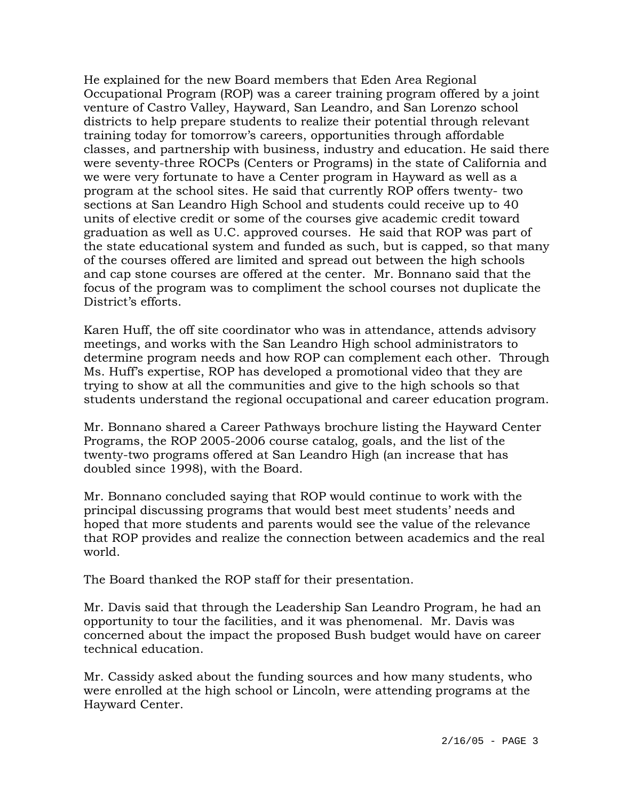He explained for the new Board members that Eden Area Regional Occupational Program (ROP) was a career training program offered by a joint venture of Castro Valley, Hayward, San Leandro, and San Lorenzo school districts to help prepare students to realize their potential through relevant training today for tomorrow's careers, opportunities through affordable classes, and partnership with business, industry and education. He said there were seventy-three ROCPs (Centers or Programs) in the state of California and we were very fortunate to have a Center program in Hayward as well as a program at the school sites. He said that currently ROP offers twenty- two sections at San Leandro High School and students could receive up to 40 units of elective credit or some of the courses give academic credit toward graduation as well as U.C. approved courses. He said that ROP was part of the state educational system and funded as such, but is capped, so that many of the courses offered are limited and spread out between the high schools and cap stone courses are offered at the center. Mr. Bonnano said that the focus of the program was to compliment the school courses not duplicate the District's efforts.

Karen Huff, the off site coordinator who was in attendance, attends advisory meetings, and works with the San Leandro High school administrators to determine program needs and how ROP can complement each other. Through Ms. Huff's expertise, ROP has developed a promotional video that they are trying to show at all the communities and give to the high schools so that students understand the regional occupational and career education program.

Mr. Bonnano shared a Career Pathways brochure listing the Hayward Center Programs, the ROP 2005-2006 course catalog, goals, and the list of the twenty-two programs offered at San Leandro High (an increase that has doubled since 1998), with the Board.

Mr. Bonnano concluded saying that ROP would continue to work with the principal discussing programs that would best meet students' needs and hoped that more students and parents would see the value of the relevance that ROP provides and realize the connection between academics and the real world.

The Board thanked the ROP staff for their presentation.

Mr. Davis said that through the Leadership San Leandro Program, he had an opportunity to tour the facilities, and it was phenomenal. Mr. Davis was concerned about the impact the proposed Bush budget would have on career technical education.

Mr. Cassidy asked about the funding sources and how many students, who were enrolled at the high school or Lincoln, were attending programs at the Hayward Center.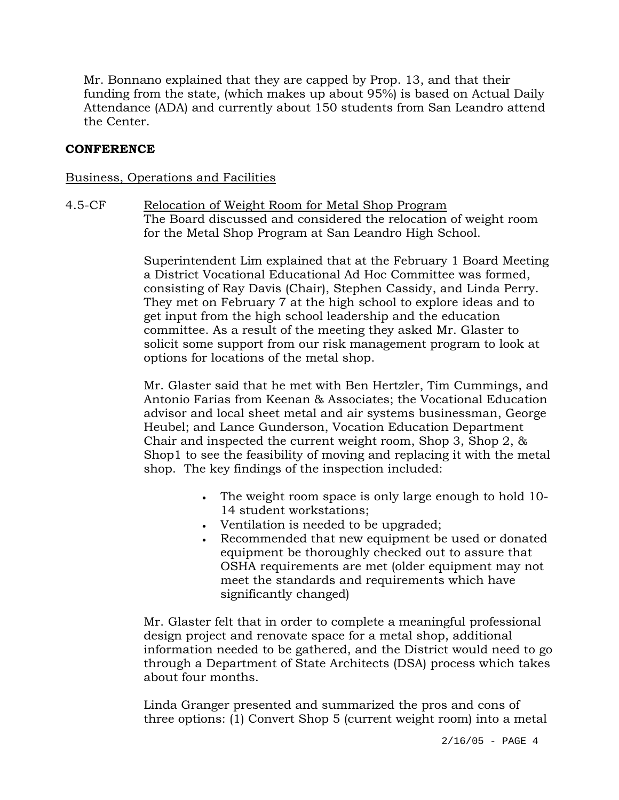Mr. Bonnano explained that they are capped by Prop. 13, and that their funding from the state, (which makes up about 95%) is based on Actual Daily Attendance (ADA) and currently about 150 students from San Leandro attend the Center.

# **CONFERENCE**

## Business, Operations and Facilities

## 4.5-CF Relocation of Weight Room for Metal Shop Program The Board discussed and considered the relocation of weight room for the Metal Shop Program at San Leandro High School.

Superintendent Lim explained that at the February 1 Board Meeting a District Vocational Educational Ad Hoc Committee was formed, consisting of Ray Davis (Chair), Stephen Cassidy, and Linda Perry. They met on February 7 at the high school to explore ideas and to get input from the high school leadership and the education committee. As a result of the meeting they asked Mr. Glaster to solicit some support from our risk management program to look at options for locations of the metal shop.

Mr. Glaster said that he met with Ben Hertzler, Tim Cummings, and Antonio Farias from Keenan & Associates; the Vocational Education advisor and local sheet metal and air systems businessman, George Heubel; and Lance Gunderson, Vocation Education Department Chair and inspected the current weight room, Shop 3, Shop 2, & Shop1 to see the feasibility of moving and replacing it with the metal shop. The key findings of the inspection included:

- The weight room space is only large enough to hold 10- 14 student workstations;
- Ventilation is needed to be upgraded;
- Recommended that new equipment be used or donated equipment be thoroughly checked out to assure that OSHA requirements are met (older equipment may not meet the standards and requirements which have significantly changed)

Mr. Glaster felt that in order to complete a meaningful professional design project and renovate space for a metal shop, additional information needed to be gathered, and the District would need to go through a Department of State Architects (DSA) process which takes about four months.

Linda Granger presented and summarized the pros and cons of three options: (1) Convert Shop 5 (current weight room) into a metal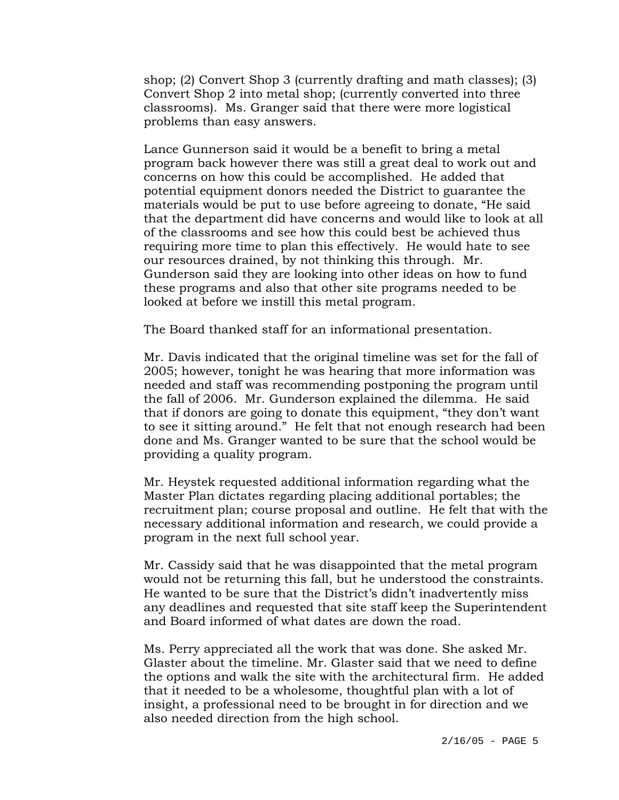shop; (2) Convert Shop 3 (currently drafting and math classes); (3) Convert Shop 2 into metal shop; (currently converted into three classrooms). Ms. Granger said that there were more logistical problems than easy answers.

Lance Gunnerson said it would be a benefit to bring a metal program back however there was still a great deal to work out and concerns on how this could be accomplished. He added that potential equipment donors needed the District to guarantee the materials would be put to use before agreeing to donate, "He said that the department did have concerns and would like to look at all of the classrooms and see how this could best be achieved thus requiring more time to plan this effectively. He would hate to see our resources drained, by not thinking this through. Mr. Gunderson said they are looking into other ideas on how to fund these programs and also that other site programs needed to be looked at before we instill this metal program.

The Board thanked staff for an informational presentation.

Mr. Davis indicated that the original timeline was set for the fall of 2005; however, tonight he was hearing that more information was needed and staff was recommending postponing the program until the fall of 2006. Mr. Gunderson explained the dilemma. He said that if donors are going to donate this equipment, "they don't want to see it sitting around." He felt that not enough research had been done and Ms. Granger wanted to be sure that the school would be providing a quality program.

Mr. Heystek requested additional information regarding what the Master Plan dictates regarding placing additional portables; the recruitment plan; course proposal and outline. He felt that with the necessary additional information and research, we could provide a program in the next full school year.

Mr. Cassidy said that he was disappointed that the metal program would not be returning this fall, but he understood the constraints. He wanted to be sure that the District's didn't inadvertently miss any deadlines and requested that site staff keep the Superintendent and Board informed of what dates are down the road.

Ms. Perry appreciated all the work that was done. She asked Mr. Glaster about the timeline. Mr. Glaster said that we need to define the options and walk the site with the architectural firm. He added that it needed to be a wholesome, thoughtful plan with a lot of insight, a professional need to be brought in for direction and we also needed direction from the high school.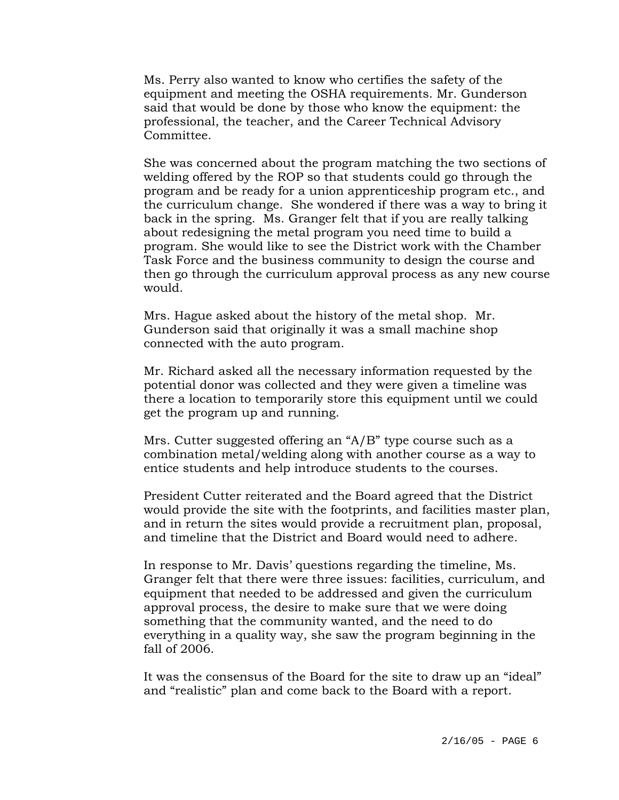Ms. Perry also wanted to know who certifies the safety of the equipment and meeting the OSHA requirements. Mr. Gunderson said that would be done by those who know the equipment: the professional, the teacher, and the Career Technical Advisory Committee.

She was concerned about the program matching the two sections of welding offered by the ROP so that students could go through the program and be ready for a union apprenticeship program etc., and the curriculum change. She wondered if there was a way to bring it back in the spring. Ms. Granger felt that if you are really talking about redesigning the metal program you need time to build a program. She would like to see the District work with the Chamber Task Force and the business community to design the course and then go through the curriculum approval process as any new course would.

Mrs. Hague asked about the history of the metal shop. Mr. Gunderson said that originally it was a small machine shop connected with the auto program.

Mr. Richard asked all the necessary information requested by the potential donor was collected and they were given a timeline was there a location to temporarily store this equipment until we could get the program up and running.

Mrs. Cutter suggested offering an "A/B" type course such as a combination metal/welding along with another course as a way to entice students and help introduce students to the courses.

President Cutter reiterated and the Board agreed that the District would provide the site with the footprints, and facilities master plan, and in return the sites would provide a recruitment plan, proposal, and timeline that the District and Board would need to adhere.

In response to Mr. Davis' questions regarding the timeline, Ms. Granger felt that there were three issues: facilities, curriculum, and equipment that needed to be addressed and given the curriculum approval process, the desire to make sure that we were doing something that the community wanted, and the need to do everything in a quality way, she saw the program beginning in the fall of 2006.

It was the consensus of the Board for the site to draw up an "ideal" and "realistic" plan and come back to the Board with a report.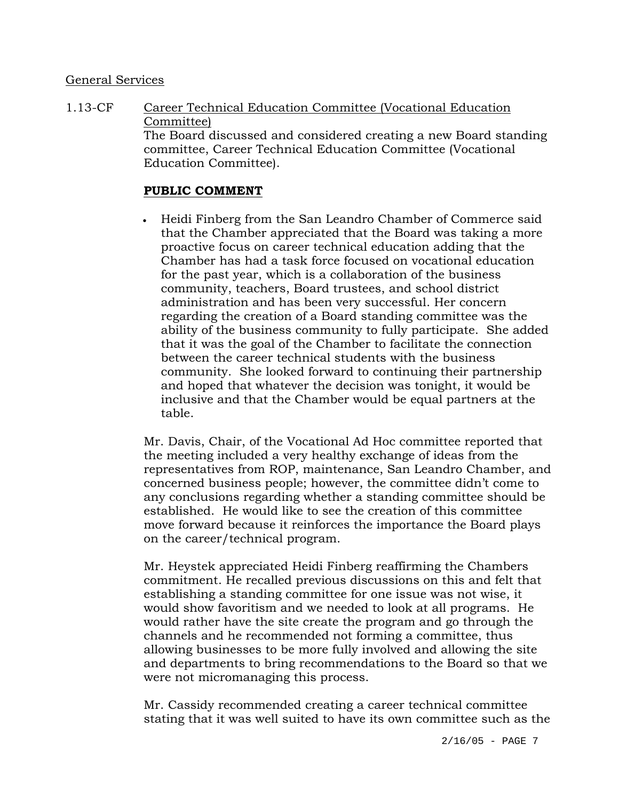## General Services

1.13-CF Career Technical Education Committee (Vocational Education Committee) The Board discussed and considered creating a new Board standing committee, Career Technical Education Committee (Vocational Education Committee).

# **PUBLIC COMMENT**

• Heidi Finberg from the San Leandro Chamber of Commerce said that the Chamber appreciated that the Board was taking a more proactive focus on career technical education adding that the Chamber has had a task force focused on vocational education for the past year, which is a collaboration of the business community, teachers, Board trustees, and school district administration and has been very successful. Her concern regarding the creation of a Board standing committee was the ability of the business community to fully participate. She added that it was the goal of the Chamber to facilitate the connection between the career technical students with the business community. She looked forward to continuing their partnership and hoped that whatever the decision was tonight, it would be inclusive and that the Chamber would be equal partners at the table.

Mr. Davis, Chair, of the Vocational Ad Hoc committee reported that the meeting included a very healthy exchange of ideas from the representatives from ROP, maintenance, San Leandro Chamber, and concerned business people; however, the committee didn't come to any conclusions regarding whether a standing committee should be established. He would like to see the creation of this committee move forward because it reinforces the importance the Board plays on the career/technical program.

Mr. Heystek appreciated Heidi Finberg reaffirming the Chambers commitment. He recalled previous discussions on this and felt that establishing a standing committee for one issue was not wise, it would show favoritism and we needed to look at all programs. He would rather have the site create the program and go through the channels and he recommended not forming a committee, thus allowing businesses to be more fully involved and allowing the site and departments to bring recommendations to the Board so that we were not micromanaging this process.

Mr. Cassidy recommended creating a career technical committee stating that it was well suited to have its own committee such as the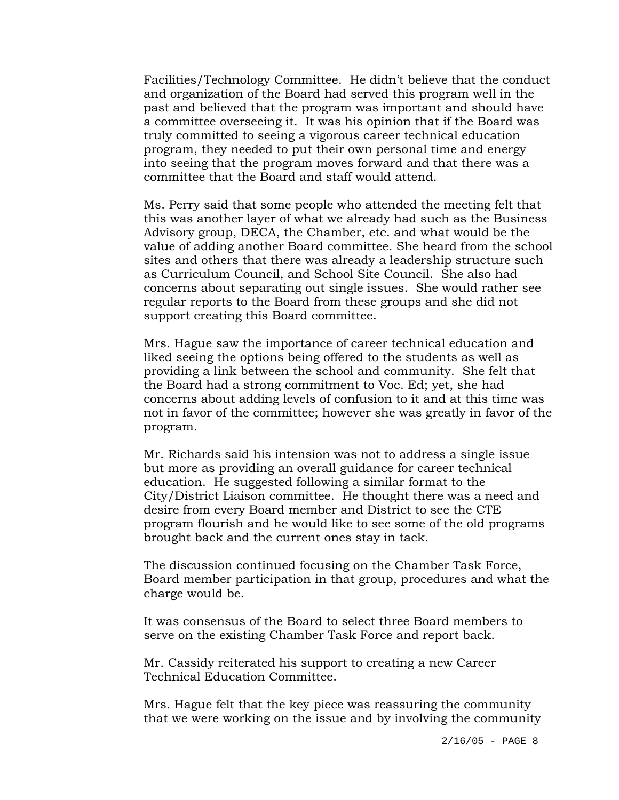Facilities/Technology Committee. He didn't believe that the conduct and organization of the Board had served this program well in the past and believed that the program was important and should have a committee overseeing it. It was his opinion that if the Board was truly committed to seeing a vigorous career technical education program, they needed to put their own personal time and energy into seeing that the program moves forward and that there was a committee that the Board and staff would attend.

Ms. Perry said that some people who attended the meeting felt that this was another layer of what we already had such as the Business Advisory group, DECA, the Chamber, etc. and what would be the value of adding another Board committee. She heard from the school sites and others that there was already a leadership structure such as Curriculum Council, and School Site Council. She also had concerns about separating out single issues. She would rather see regular reports to the Board from these groups and she did not support creating this Board committee.

Mrs. Hague saw the importance of career technical education and liked seeing the options being offered to the students as well as providing a link between the school and community. She felt that the Board had a strong commitment to Voc. Ed; yet, she had concerns about adding levels of confusion to it and at this time was not in favor of the committee; however she was greatly in favor of the program.

Mr. Richards said his intension was not to address a single issue but more as providing an overall guidance for career technical education. He suggested following a similar format to the City/District Liaison committee. He thought there was a need and desire from every Board member and District to see the CTE program flourish and he would like to see some of the old programs brought back and the current ones stay in tack.

The discussion continued focusing on the Chamber Task Force, Board member participation in that group, procedures and what the charge would be.

It was consensus of the Board to select three Board members to serve on the existing Chamber Task Force and report back.

Mr. Cassidy reiterated his support to creating a new Career Technical Education Committee.

Mrs. Hague felt that the key piece was reassuring the community that we were working on the issue and by involving the community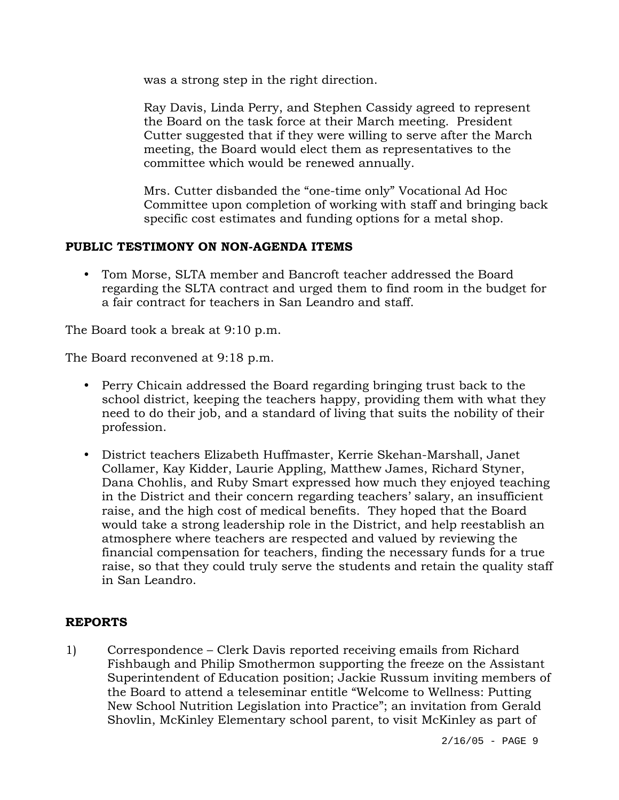was a strong step in the right direction.

Ray Davis, Linda Perry, and Stephen Cassidy agreed to represent the Board on the task force at their March meeting. President Cutter suggested that if they were willing to serve after the March meeting, the Board would elect them as representatives to the committee which would be renewed annually.

Mrs. Cutter disbanded the "one-time only" Vocational Ad Hoc Committee upon completion of working with staff and bringing back specific cost estimates and funding options for a metal shop.

# **PUBLIC TESTIMONY ON NON-AGENDA ITEMS**

• Tom Morse, SLTA member and Bancroft teacher addressed the Board regarding the SLTA contract and urged them to find room in the budget for a fair contract for teachers in San Leandro and staff.

The Board took a break at 9:10 p.m.

The Board reconvened at 9:18 p.m.

- Perry Chicain addressed the Board regarding bringing trust back to the school district, keeping the teachers happy, providing them with what they need to do their job, and a standard of living that suits the nobility of their profession.
- y District teachers Elizabeth Huffmaster, Kerrie Skehan-Marshall, Janet Collamer, Kay Kidder, Laurie Appling, Matthew James, Richard Styner, Dana Chohlis, and Ruby Smart expressed how much they enjoyed teaching in the District and their concern regarding teachers' salary, an insufficient raise, and the high cost of medical benefits. They hoped that the Board would take a strong leadership role in the District, and help reestablish an atmosphere where teachers are respected and valued by reviewing the financial compensation for teachers, finding the necessary funds for a true raise, so that they could truly serve the students and retain the quality staff in San Leandro.

# **REPORTS**

1) Correspondence – Clerk Davis reported receiving emails from Richard Fishbaugh and Philip Smothermon supporting the freeze on the Assistant Superintendent of Education position; Jackie Russum inviting members of the Board to attend a teleseminar entitle "Welcome to Wellness: Putting New School Nutrition Legislation into Practice"; an invitation from Gerald Shovlin, McKinley Elementary school parent, to visit McKinley as part of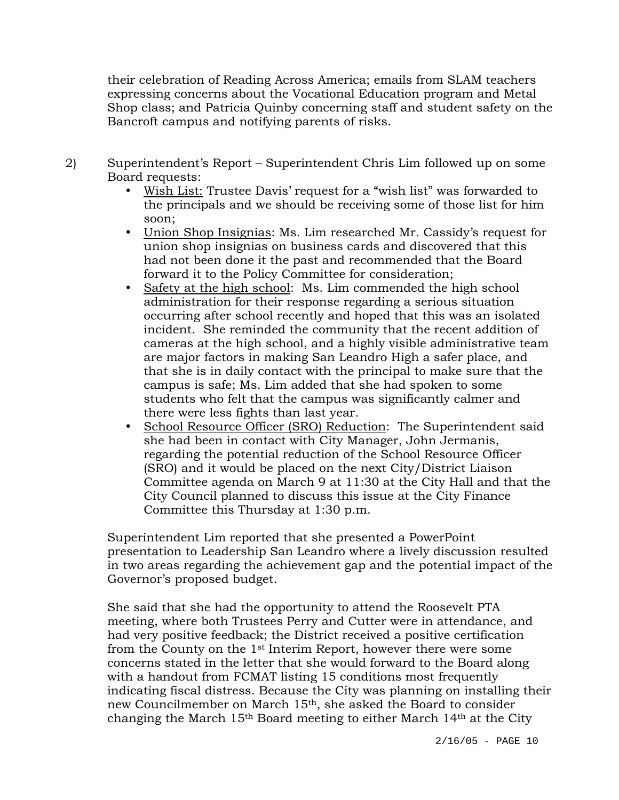their celebration of Reading Across America; emails from SLAM teachers expressing concerns about the Vocational Education program and Metal Shop class; and Patricia Quinby concerning staff and student safety on the Bancroft campus and notifying parents of risks.

- 2) Superintendent's Report Superintendent Chris Lim followed up on some Board requests:
	- Wish List: Trustee Davis' request for a "wish list" was forwarded to the principals and we should be receiving some of those list for him soon;
	- Union Shop Insignias: Ms. Lim researched Mr. Cassidy's request for union shop insignias on business cards and discovered that this had not been done it the past and recommended that the Board forward it to the Policy Committee for consideration;
	- Safety at the high school: Ms. Lim commended the high school administration for their response regarding a serious situation occurring after school recently and hoped that this was an isolated incident. She reminded the community that the recent addition of cameras at the high school, and a highly visible administrative team are major factors in making San Leandro High a safer place, and that she is in daily contact with the principal to make sure that the campus is safe; Ms. Lim added that she had spoken to some students who felt that the campus was significantly calmer and there were less fights than last year.
	- School Resource Officer (SRO) Reduction: The Superintendent said she had been in contact with City Manager, John Jermanis, regarding the potential reduction of the School Resource Officer (SRO) and it would be placed on the next City/District Liaison Committee agenda on March 9 at 11:30 at the City Hall and that the City Council planned to discuss this issue at the City Finance Committee this Thursday at 1:30 p.m.

Superintendent Lim reported that she presented a PowerPoint presentation to Leadership San Leandro where a lively discussion resulted in two areas regarding the achievement gap and the potential impact of the Governor's proposed budget.

She said that she had the opportunity to attend the Roosevelt PTA meeting, where both Trustees Perry and Cutter were in attendance, and had very positive feedback; the District received a positive certification from the County on the 1st Interim Report, however there were some concerns stated in the letter that she would forward to the Board along with a handout from FCMAT listing 15 conditions most frequently indicating fiscal distress. Because the City was planning on installing their new Councilmember on March 15th, she asked the Board to consider changing the March 15th Board meeting to either March 14th at the City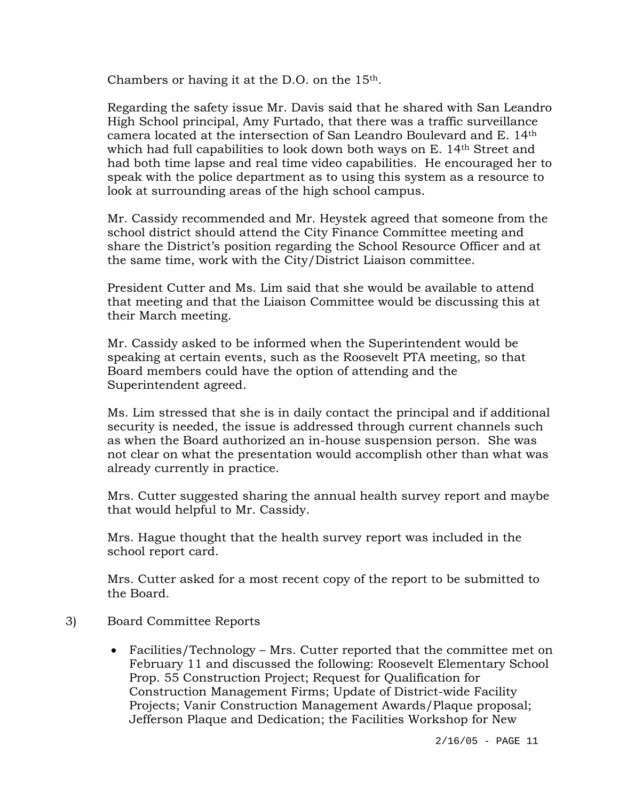Chambers or having it at the D.O. on the 15th.

Regarding the safety issue Mr. Davis said that he shared with San Leandro High School principal, Amy Furtado, that there was a traffic surveillance camera located at the intersection of San Leandro Boulevard and E. 14th which had full capabilities to look down both ways on E. 14th Street and had both time lapse and real time video capabilities. He encouraged her to speak with the police department as to using this system as a resource to look at surrounding areas of the high school campus.

Mr. Cassidy recommended and Mr. Heystek agreed that someone from the school district should attend the City Finance Committee meeting and share the District's position regarding the School Resource Officer and at the same time, work with the City/District Liaison committee.

President Cutter and Ms. Lim said that she would be available to attend that meeting and that the Liaison Committee would be discussing this at their March meeting.

Mr. Cassidy asked to be informed when the Superintendent would be speaking at certain events, such as the Roosevelt PTA meeting, so that Board members could have the option of attending and the Superintendent agreed.

Ms. Lim stressed that she is in daily contact the principal and if additional security is needed, the issue is addressed through current channels such as when the Board authorized an in-house suspension person. She was not clear on what the presentation would accomplish other than what was already currently in practice.

Mrs. Cutter suggested sharing the annual health survey report and maybe that would helpful to Mr. Cassidy.

Mrs. Hague thought that the health survey report was included in the school report card.

Mrs. Cutter asked for a most recent copy of the report to be submitted to the Board.

- 3) Board Committee Reports
	- Facilities/Technology Mrs. Cutter reported that the committee met on February 11 and discussed the following: Roosevelt Elementary School Prop. 55 Construction Project; Request for Qualification for Construction Management Firms; Update of District-wide Facility Projects; Vanir Construction Management Awards/Plaque proposal; Jefferson Plaque and Dedication; the Facilities Workshop for New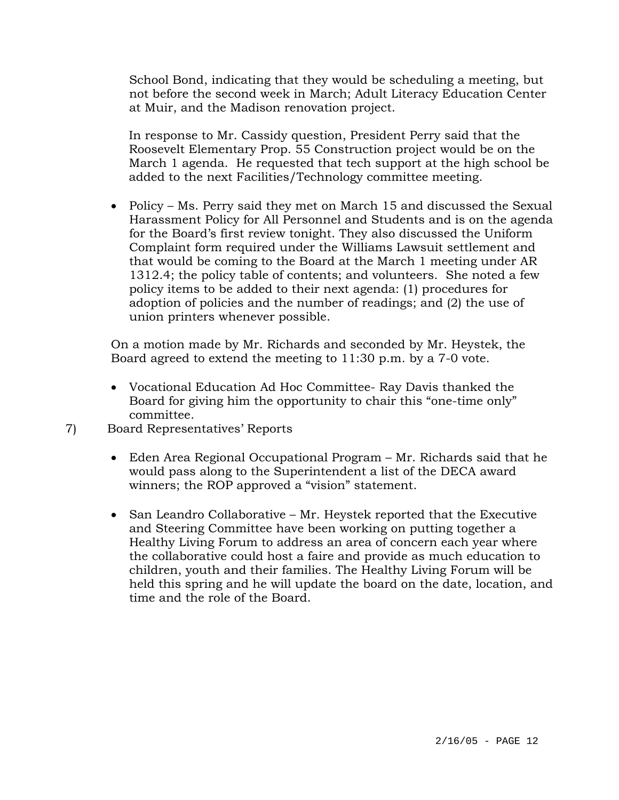School Bond, indicating that they would be scheduling a meeting, but not before the second week in March; Adult Literacy Education Center at Muir, and the Madison renovation project.

 In response to Mr. Cassidy question, President Perry said that the Roosevelt Elementary Prop. 55 Construction project would be on the March 1 agenda. He requested that tech support at the high school be added to the next Facilities/Technology committee meeting.

• Policy – Ms. Perry said they met on March 15 and discussed the Sexual Harassment Policy for All Personnel and Students and is on the agenda for the Board's first review tonight. They also discussed the Uniform Complaint form required under the Williams Lawsuit settlement and that would be coming to the Board at the March 1 meeting under AR 1312.4; the policy table of contents; and volunteers. She noted a few policy items to be added to their next agenda: (1) procedures for adoption of policies and the number of readings; and (2) the use of union printers whenever possible.

On a motion made by Mr. Richards and seconded by Mr. Heystek, the Board agreed to extend the meeting to 11:30 p.m. by a 7-0 vote.

- Vocational Education Ad Hoc Committee- Ray Davis thanked the Board for giving him the opportunity to chair this "one-time only" committee.
- 7) Board Representatives' Reports
	- Eden Area Regional Occupational Program Mr. Richards said that he would pass along to the Superintendent a list of the DECA award winners; the ROP approved a "vision" statement.
	- San Leandro Collaborative Mr. Heystek reported that the Executive and Steering Committee have been working on putting together a Healthy Living Forum to address an area of concern each year where the collaborative could host a faire and provide as much education to children, youth and their families. The Healthy Living Forum will be held this spring and he will update the board on the date, location, and time and the role of the Board.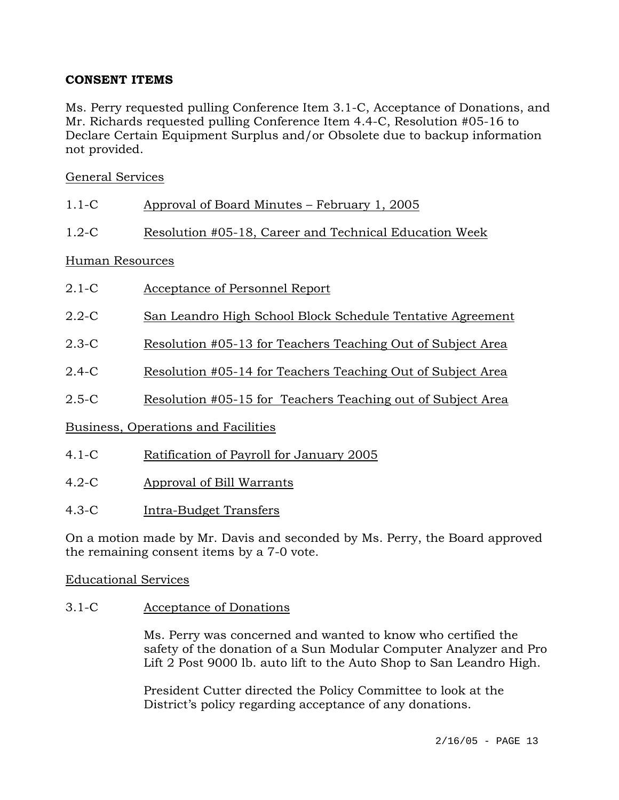# **CONSENT ITEMS**

Ms. Perry requested pulling Conference Item 3.1-C, Acceptance of Donations, and Mr. Richards requested pulling Conference Item 4.4-C, Resolution #05-16 to Declare Certain Equipment Surplus and/or Obsolete due to backup information not provided.

# General Services

| $1.1 - C$       | Approval of Board Minutes – February 1, 2005                |  |  |
|-----------------|-------------------------------------------------------------|--|--|
| $1.2-C$         | Resolution #05-18, Career and Technical Education Week      |  |  |
| Human Resources |                                                             |  |  |
| $2.1-C$         | Acceptance of Personnel Report                              |  |  |
| $2.2 - C$       | San Leandro High School Block Schedule Tentative Agreement  |  |  |
| $2.3-C$         | Resolution #05-13 for Teachers Teaching Out of Subject Area |  |  |

- 2.4-C Resolution #05-14 for Teachers Teaching Out of Subject Area
- 2.5-C Resolution #05-15 for Teachers Teaching out of Subject Area

Business, Operations and Facilities

- 4.1-C Ratification of Payroll for January 2005
- 4.2-C Approval of Bill Warrants
- 4.3-C Intra-Budget Transfers

On a motion made by Mr. Davis and seconded by Ms. Perry, the Board approved the remaining consent items by a 7-0 vote.

## Educational Services

3.1-C Acceptance of Donations

Ms. Perry was concerned and wanted to know who certified the safety of the donation of a Sun Modular Computer Analyzer and Pro Lift 2 Post 9000 lb. auto lift to the Auto Shop to San Leandro High.

President Cutter directed the Policy Committee to look at the District's policy regarding acceptance of any donations.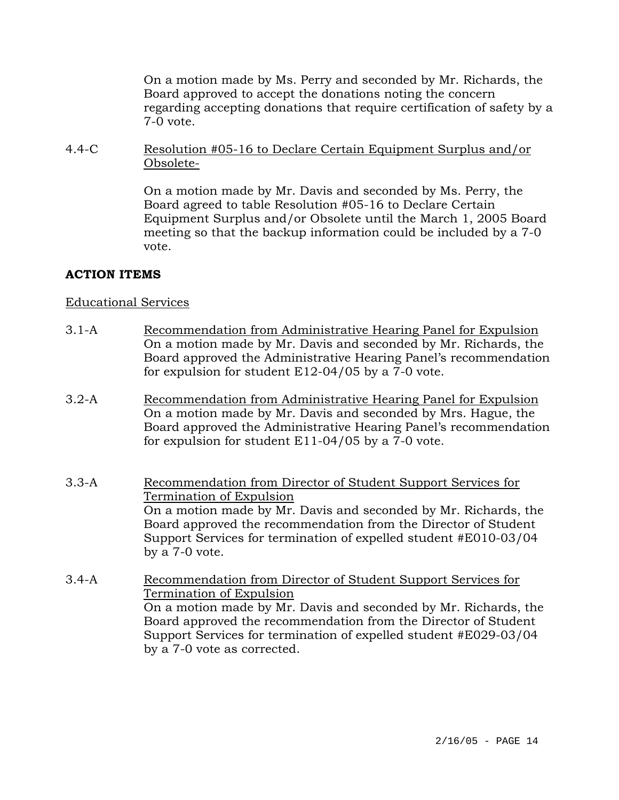On a motion made by Ms. Perry and seconded by Mr. Richards, the Board approved to accept the donations noting the concern regarding accepting donations that require certification of safety by a 7-0 vote.

4.4-C Resolution #05-16 to Declare Certain Equipment Surplus and/or Obsolete-

> On a motion made by Mr. Davis and seconded by Ms. Perry, the Board agreed to table Resolution #05-16 to Declare Certain Equipment Surplus and/or Obsolete until the March 1, 2005 Board meeting so that the backup information could be included by a 7-0 vote.

# **ACTION ITEMS**

## Educational Services

- 3.1-A Recommendation from Administrative Hearing Panel for Expulsion On a motion made by Mr. Davis and seconded by Mr. Richards, the Board approved the Administrative Hearing Panel's recommendation for expulsion for student E12-04/05 by a 7-0 vote.
- 3.2-A Recommendation from Administrative Hearing Panel for Expulsion On a motion made by Mr. Davis and seconded by Mrs. Hague, the Board approved the Administrative Hearing Panel's recommendation for expulsion for student E11-04/05 by a 7-0 vote.
- 3.3-A Recommendation from Director of Student Support Services for Termination of Expulsion On a motion made by Mr. Davis and seconded by Mr. Richards, the Board approved the recommendation from the Director of Student Support Services for termination of expelled student #E010-03/04 by a 7-0 vote.
- 3.4-A Recommendation from Director of Student Support Services for Termination of Expulsion On a motion made by Mr. Davis and seconded by Mr. Richards, the Board approved the recommendation from the Director of Student Support Services for termination of expelled student #E029-03/04 by a 7-0 vote as corrected.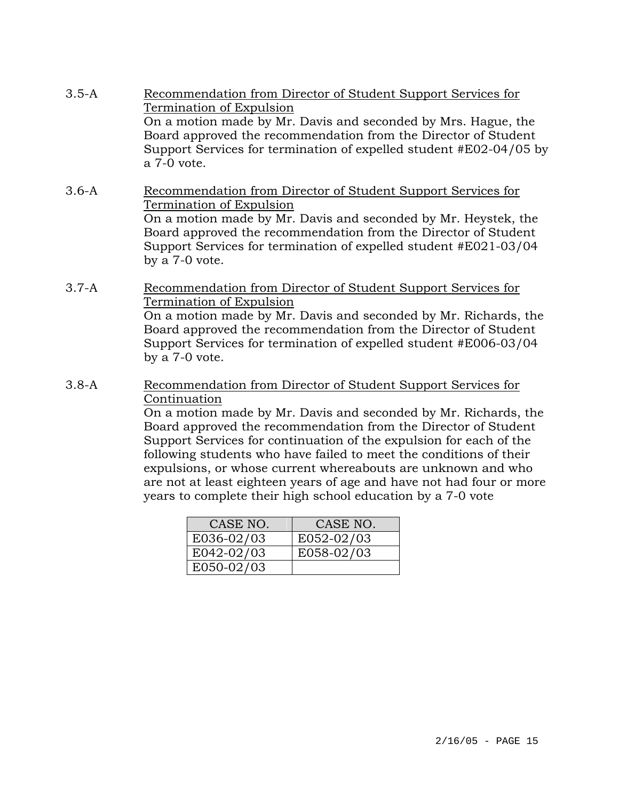- 3.5-A Recommendation from Director of Student Support Services for Termination of Expulsion On a motion made by Mr. Davis and seconded by Mrs. Hague, the Board approved the recommendation from the Director of Student Support Services for termination of expelled student #E02-04/05 by a 7-0 vote.
- 3.6-A Recommendation from Director of Student Support Services for Termination of Expulsion On a motion made by Mr. Davis and seconded by Mr. Heystek, the Board approved the recommendation from the Director of Student Support Services for termination of expelled student #E021-03/04 by a 7-0 vote.
- 3.7-A Recommendation from Director of Student Support Services for Termination of Expulsion On a motion made by Mr. Davis and seconded by Mr. Richards, the Board approved the recommendation from the Director of Student Support Services for termination of expelled student #E006-03/04
- 3.8-A Recommendation from Director of Student Support Services for Continuation

by a 7-0 vote.

On a motion made by Mr. Davis and seconded by Mr. Richards, the Board approved the recommendation from the Director of Student Support Services for continuation of the expulsion for each of the following students who have failed to meet the conditions of their expulsions, or whose current whereabouts are unknown and who are not at least eighteen years of age and have not had four or more years to complete their high school education by a 7-0 vote

| CASE NO.     | CASE NO.   |
|--------------|------------|
| E036-02/03   | E052-02/03 |
| $E042-02/03$ | E058-02/03 |
| E050-02/03   |            |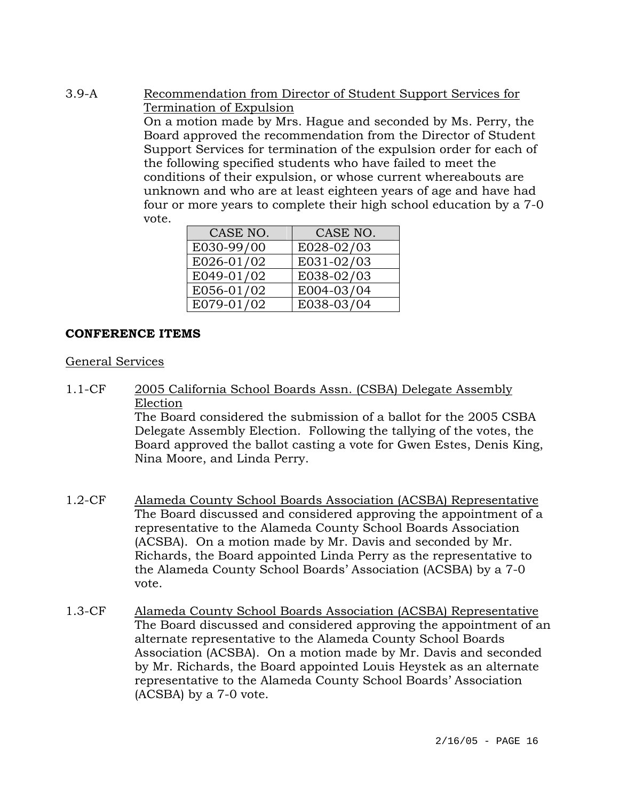3.9-A Recommendation from Director of Student Support Services for Termination of Expulsion

On a motion made by Mrs. Hague and seconded by Ms. Perry, the Board approved the recommendation from the Director of Student Support Services for termination of the expulsion order for each of the following specified students who have failed to meet the conditions of their expulsion, or whose current whereabouts are unknown and who are at least eighteen years of age and have had four or more years to complete their high school education by a 7-0 vote.

| CASE NO.   | CASE NO.   |
|------------|------------|
| E030-99/00 | E028-02/03 |
| E026-01/02 | E031-02/03 |
| E049-01/02 | E038-02/03 |
| E056-01/02 | E004-03/04 |
| E079-01/02 | E038-03/04 |

# **CONFERENCE ITEMS**

## General Services

- 1.1-CF 2005 California School Boards Assn. (CSBA) Delegate Assembly Election The Board considered the submission of a ballot for the 2005 CSBA Delegate Assembly Election. Following the tallying of the votes, the Board approved the ballot casting a vote for Gwen Estes, Denis King, Nina Moore, and Linda Perry.
- 1.2-CF Alameda County School Boards Association (ACSBA) Representative The Board discussed and considered approving the appointment of a representative to the Alameda County School Boards Association (ACSBA). On a motion made by Mr. Davis and seconded by Mr. Richards, the Board appointed Linda Perry as the representative to the Alameda County School Boards' Association (ACSBA) by a 7-0 vote.
- 1.3-CF Alameda County School Boards Association (ACSBA) Representative The Board discussed and considered approving the appointment of an alternate representative to the Alameda County School Boards Association (ACSBA). On a motion made by Mr. Davis and seconded by Mr. Richards, the Board appointed Louis Heystek as an alternate representative to the Alameda County School Boards' Association (ACSBA) by a 7-0 vote.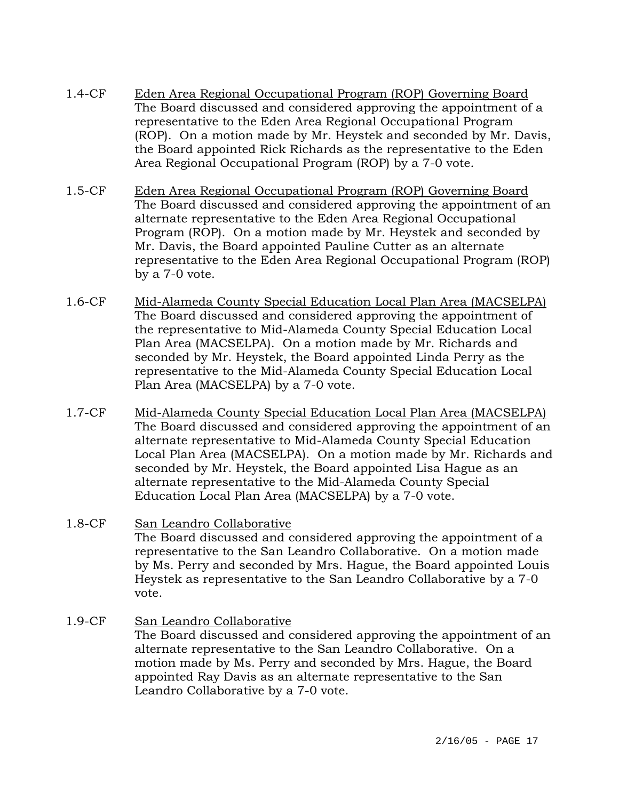- 1.4-CF Eden Area Regional Occupational Program (ROP) Governing Board The Board discussed and considered approving the appointment of a representative to the Eden Area Regional Occupational Program (ROP). On a motion made by Mr. Heystek and seconded by Mr. Davis, the Board appointed Rick Richards as the representative to the Eden Area Regional Occupational Program (ROP) by a 7-0 vote.
- 1.5-CF Eden Area Regional Occupational Program (ROP) Governing Board The Board discussed and considered approving the appointment of an alternate representative to the Eden Area Regional Occupational Program (ROP). On a motion made by Mr. Heystek and seconded by Mr. Davis, the Board appointed Pauline Cutter as an alternate representative to the Eden Area Regional Occupational Program (ROP) by a 7-0 vote.
- 1.6-CF Mid-Alameda County Special Education Local Plan Area (MACSELPA) The Board discussed and considered approving the appointment of the representative to Mid-Alameda County Special Education Local Plan Area (MACSELPA). On a motion made by Mr. Richards and seconded by Mr. Heystek, the Board appointed Linda Perry as the representative to the Mid-Alameda County Special Education Local Plan Area (MACSELPA) by a 7-0 vote.
- 1.7-CF Mid-Alameda County Special Education Local Plan Area (MACSELPA) The Board discussed and considered approving the appointment of an alternate representative to Mid-Alameda County Special Education Local Plan Area (MACSELPA). On a motion made by Mr. Richards and seconded by Mr. Heystek, the Board appointed Lisa Hague as an alternate representative to the Mid-Alameda County Special Education Local Plan Area (MACSELPA) by a 7-0 vote.
- 1.8-CF San Leandro Collaborative The Board discussed and considered approving the appointment of a representative to the San Leandro Collaborative. On a motion made by Ms. Perry and seconded by Mrs. Hague, the Board appointed Louis Heystek as representative to the San Leandro Collaborative by a 7-0 vote.
- 1.9-CF San Leandro Collaborative The Board discussed and considered approving the appointment of an alternate representative to the San Leandro Collaborative. On a motion made by Ms. Perry and seconded by Mrs. Hague, the Board appointed Ray Davis as an alternate representative to the San Leandro Collaborative by a 7-0 vote.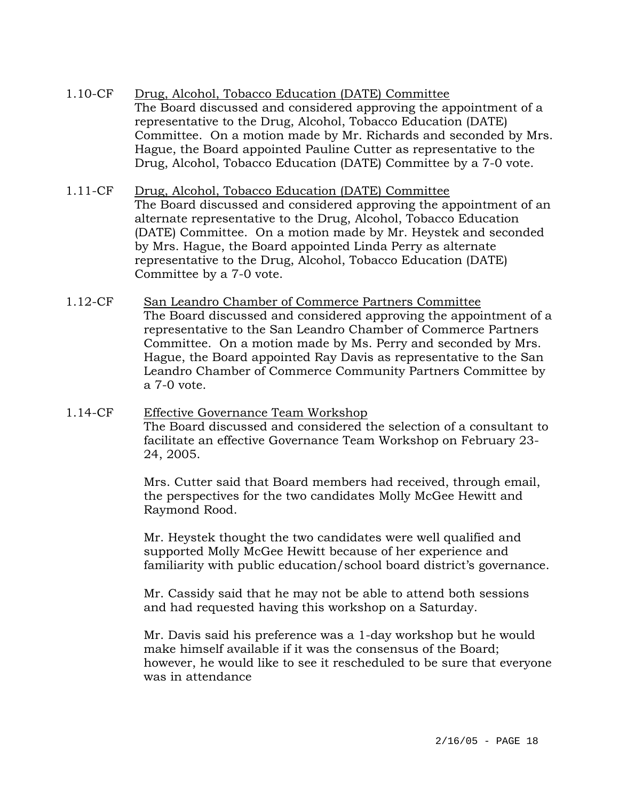- 1.10-CF Drug, Alcohol, Tobacco Education (DATE) Committee The Board discussed and considered approving the appointment of a representative to the Drug, Alcohol, Tobacco Education (DATE) Committee. On a motion made by Mr. Richards and seconded by Mrs. Hague, the Board appointed Pauline Cutter as representative to the Drug, Alcohol, Tobacco Education (DATE) Committee by a 7-0 vote.
- 1.11-CF Drug, Alcohol, Tobacco Education (DATE) Committee The Board discussed and considered approving the appointment of an alternate representative to the Drug, Alcohol, Tobacco Education (DATE) Committee. On a motion made by Mr. Heystek and seconded by Mrs. Hague, the Board appointed Linda Perry as alternate representative to the Drug, Alcohol, Tobacco Education (DATE) Committee by a 7-0 vote.
- 1.12-CF San Leandro Chamber of Commerce Partners Committee The Board discussed and considered approving the appointment of a representative to the San Leandro Chamber of Commerce Partners Committee. On a motion made by Ms. Perry and seconded by Mrs. Hague, the Board appointed Ray Davis as representative to the San Leandro Chamber of Commerce Community Partners Committee by a 7-0 vote.
- 1.14-CF Effective Governance Team Workshop The Board discussed and considered the selection of a consultant to facilitate an effective Governance Team Workshop on February 23- 24, 2005.

Mrs. Cutter said that Board members had received, through email, the perspectives for the two candidates Molly McGee Hewitt and Raymond Rood.

Mr. Heystek thought the two candidates were well qualified and supported Molly McGee Hewitt because of her experience and familiarity with public education/school board district's governance.

Mr. Cassidy said that he may not be able to attend both sessions and had requested having this workshop on a Saturday.

Mr. Davis said his preference was a 1-day workshop but he would make himself available if it was the consensus of the Board; however, he would like to see it rescheduled to be sure that everyone was in attendance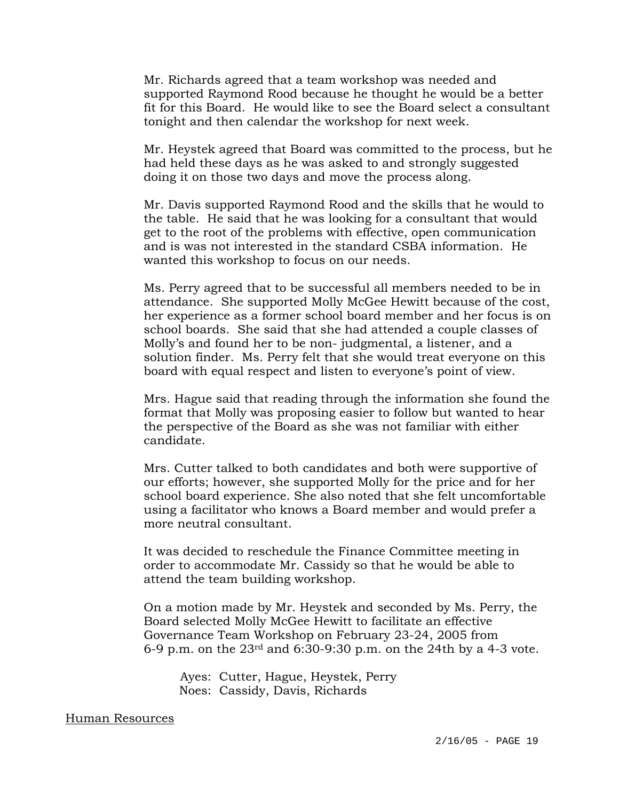Mr. Richards agreed that a team workshop was needed and supported Raymond Rood because he thought he would be a better fit for this Board. He would like to see the Board select a consultant tonight and then calendar the workshop for next week.

Mr. Heystek agreed that Board was committed to the process, but he had held these days as he was asked to and strongly suggested doing it on those two days and move the process along.

Mr. Davis supported Raymond Rood and the skills that he would to the table. He said that he was looking for a consultant that would get to the root of the problems with effective, open communication and is was not interested in the standard CSBA information. He wanted this workshop to focus on our needs.

Ms. Perry agreed that to be successful all members needed to be in attendance. She supported Molly McGee Hewitt because of the cost, her experience as a former school board member and her focus is on school boards. She said that she had attended a couple classes of Molly's and found her to be non- judgmental, a listener, and a solution finder. Ms. Perry felt that she would treat everyone on this board with equal respect and listen to everyone's point of view.

Mrs. Hague said that reading through the information she found the format that Molly was proposing easier to follow but wanted to hear the perspective of the Board as she was not familiar with either candidate.

Mrs. Cutter talked to both candidates and both were supportive of our efforts; however, she supported Molly for the price and for her school board experience. She also noted that she felt uncomfortable using a facilitator who knows a Board member and would prefer a more neutral consultant.

It was decided to reschedule the Finance Committee meeting in order to accommodate Mr. Cassidy so that he would be able to attend the team building workshop.

On a motion made by Mr. Heystek and seconded by Ms. Perry, the Board selected Molly McGee Hewitt to facilitate an effective Governance Team Workshop on February 23-24, 2005 from 6-9 p.m. on the  $23<sup>rd</sup>$  and 6:30-9:30 p.m. on the 24th by a 4-3 vote.

 Ayes: Cutter, Hague, Heystek, Perry Noes: Cassidy, Davis, Richards

#### Human Resources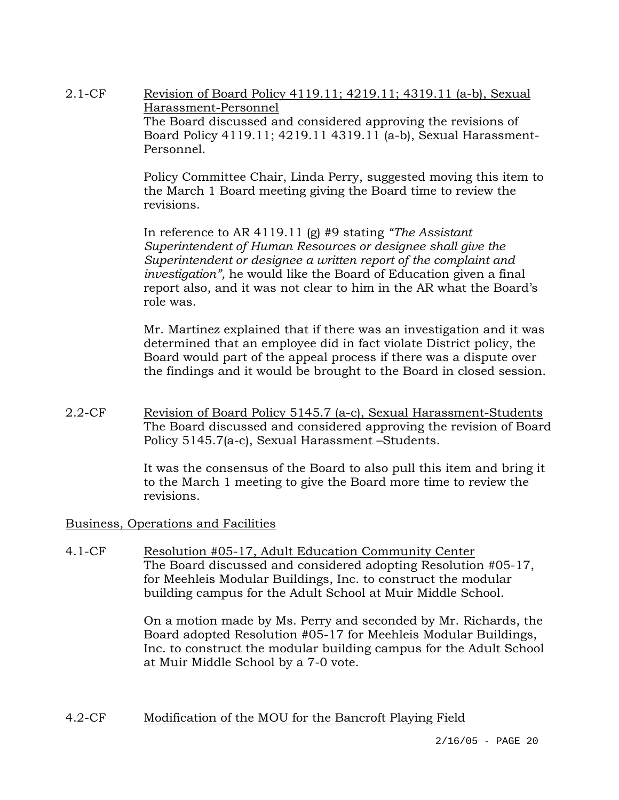2.1-CF Revision of Board Policy 4119.11; 4219.11; 4319.11 (a-b), Sexual Harassment-Personnel The Board discussed and considered approving the revisions of Board Policy 4119.11; 4219.11 4319.11 (a-b), Sexual Harassment-Personnel.

> Policy Committee Chair, Linda Perry, suggested moving this item to the March 1 Board meeting giving the Board time to review the revisions.

In reference to AR 4119.11 (g) #9 stating *"The Assistant Superintendent of Human Resources or designee shall give the Superintendent or designee a written report of the complaint and investigation",* he would like the Board of Education given a final report also, and it was not clear to him in the AR what the Board's role was.

Mr. Martinez explained that if there was an investigation and it was determined that an employee did in fact violate District policy, the Board would part of the appeal process if there was a dispute over the findings and it would be brought to the Board in closed session.

2.2-CF Revision of Board Policy 5145.7 (a-c), Sexual Harassment-Students The Board discussed and considered approving the revision of Board Policy 5145.7(a-c), Sexual Harassment –Students.

> It was the consensus of the Board to also pull this item and bring it to the March 1 meeting to give the Board more time to review the revisions.

### Business, Operations and Facilities

4.1-CF Resolution #05-17, Adult Education Community Center The Board discussed and considered adopting Resolution #05-17, for Meehleis Modular Buildings, Inc. to construct the modular building campus for the Adult School at Muir Middle School.

> On a motion made by Ms. Perry and seconded by Mr. Richards, the Board adopted Resolution #05-17 for Meehleis Modular Buildings, Inc. to construct the modular building campus for the Adult School at Muir Middle School by a 7-0 vote.

### 4.2-CF Modification of the MOU for the Bancroft Playing Field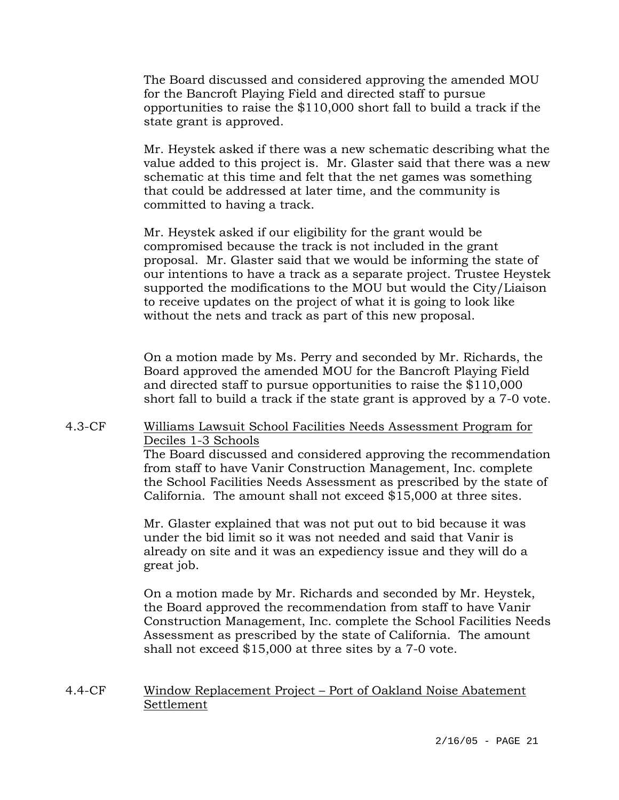The Board discussed and considered approving the amended MOU for the Bancroft Playing Field and directed staff to pursue opportunities to raise the \$110,000 short fall to build a track if the state grant is approved.

Mr. Heystek asked if there was a new schematic describing what the value added to this project is. Mr. Glaster said that there was a new schematic at this time and felt that the net games was something that could be addressed at later time, and the community is committed to having a track.

Mr. Heystek asked if our eligibility for the grant would be compromised because the track is not included in the grant proposal. Mr. Glaster said that we would be informing the state of our intentions to have a track as a separate project. Trustee Heystek supported the modifications to the MOU but would the City/Liaison to receive updates on the project of what it is going to look like without the nets and track as part of this new proposal.

On a motion made by Ms. Perry and seconded by Mr. Richards, the Board approved the amended MOU for the Bancroft Playing Field and directed staff to pursue opportunities to raise the \$110,000 short fall to build a track if the state grant is approved by a 7-0 vote.

## 4.3-CF Williams Lawsuit School Facilities Needs Assessment Program for Deciles 1-3 Schools

The Board discussed and considered approving the recommendation from staff to have Vanir Construction Management, Inc. complete the School Facilities Needs Assessment as prescribed by the state of California. The amount shall not exceed \$15,000 at three sites.

Mr. Glaster explained that was not put out to bid because it was under the bid limit so it was not needed and said that Vanir is already on site and it was an expediency issue and they will do a great job.

On a motion made by Mr. Richards and seconded by Mr. Heystek, the Board approved the recommendation from staff to have Vanir Construction Management, Inc. complete the School Facilities Needs Assessment as prescribed by the state of California. The amount shall not exceed \$15,000 at three sites by a 7-0 vote.

## 4.4-CF Window Replacement Project – Port of Oakland Noise Abatement Settlement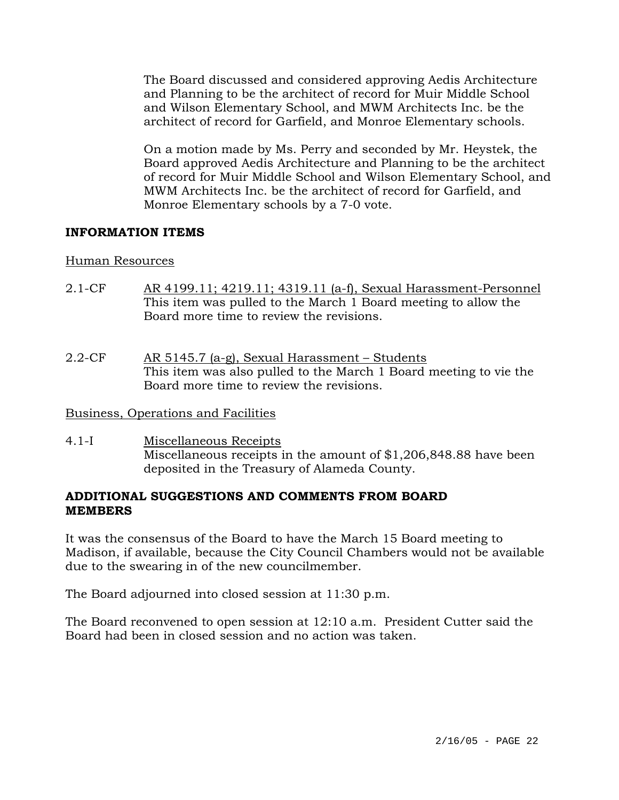The Board discussed and considered approving Aedis Architecture and Planning to be the architect of record for Muir Middle School and Wilson Elementary School, and MWM Architects Inc. be the architect of record for Garfield, and Monroe Elementary schools.

On a motion made by Ms. Perry and seconded by Mr. Heystek, the Board approved Aedis Architecture and Planning to be the architect of record for Muir Middle School and Wilson Elementary School, and MWM Architects Inc. be the architect of record for Garfield, and Monroe Elementary schools by a 7-0 vote.

## **INFORMATION ITEMS**

### Human Resources

- 2.1-CF AR 4199.11; 4219.11; 4319.11 (a-f), Sexual Harassment-Personnel This item was pulled to the March 1 Board meeting to allow the Board more time to review the revisions.
- 2.2-CF AR 5145.7 (a-g), Sexual Harassment Students This item was also pulled to the March 1 Board meeting to vie the Board more time to review the revisions.

### Business, Operations and Facilities

4.1-I Miscellaneous Receipts Miscellaneous receipts in the amount of \$1,206,848.88 have been deposited in the Treasury of Alameda County.

## **ADDITIONAL SUGGESTIONS AND COMMENTS FROM BOARD MEMBERS**

It was the consensus of the Board to have the March 15 Board meeting to Madison, if available, because the City Council Chambers would not be available due to the swearing in of the new councilmember.

The Board adjourned into closed session at 11:30 p.m.

The Board reconvened to open session at 12:10 a.m. President Cutter said the Board had been in closed session and no action was taken.